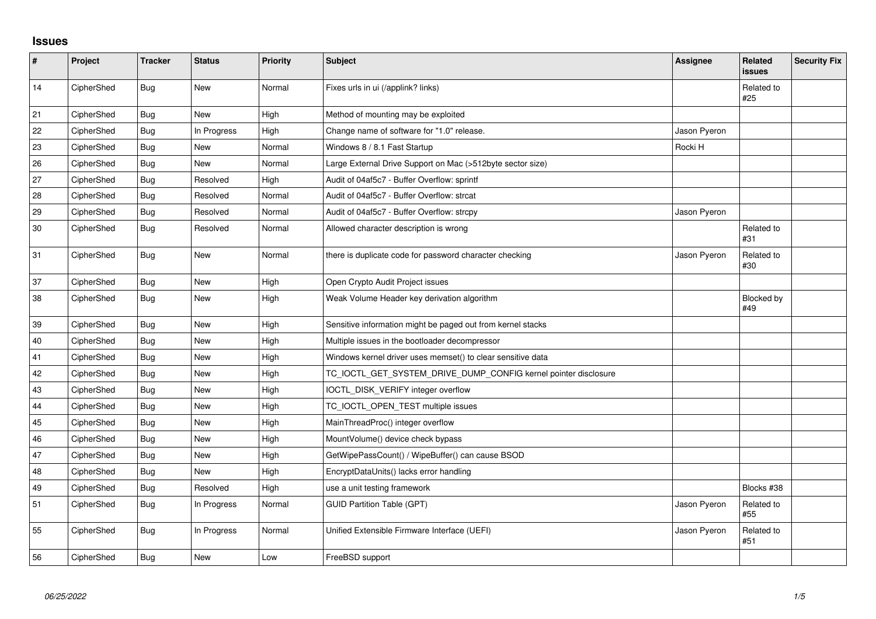## **Issues**

| $\sharp$ | Project    | <b>Tracker</b> | <b>Status</b> | <b>Priority</b> | Subject                                                         | <b>Assignee</b> | Related<br><b>issues</b> | <b>Security Fix</b> |
|----------|------------|----------------|---------------|-----------------|-----------------------------------------------------------------|-----------------|--------------------------|---------------------|
| 14       | CipherShed | <b>Bug</b>     | <b>New</b>    | Normal          | Fixes urls in ui (/applink? links)                              |                 | Related to<br>#25        |                     |
| 21       | CipherShed | Bug            | <b>New</b>    | High            | Method of mounting may be exploited                             |                 |                          |                     |
| 22       | CipherShed | Bug            | In Progress   | High            | Change name of software for "1.0" release.                      | Jason Pyeron    |                          |                     |
| 23       | CipherShed | Bug            | New           | Normal          | Windows 8 / 8.1 Fast Startup                                    | Rocki H         |                          |                     |
| 26       | CipherShed | <b>Bug</b>     | New           | Normal          | Large External Drive Support on Mac (>512byte sector size)      |                 |                          |                     |
| 27       | CipherShed | Bug            | Resolved      | High            | Audit of 04af5c7 - Buffer Overflow: sprintf                     |                 |                          |                     |
| 28       | CipherShed | Bug            | Resolved      | Normal          | Audit of 04af5c7 - Buffer Overflow: strcat                      |                 |                          |                     |
| 29       | CipherShed | Bug            | Resolved      | Normal          | Audit of 04af5c7 - Buffer Overflow: strcpy                      | Jason Pyeron    |                          |                     |
| 30       | CipherShed | Bug            | Resolved      | Normal          | Allowed character description is wrong                          |                 | Related to<br>#31        |                     |
| 31       | CipherShed | <b>Bug</b>     | <b>New</b>    | Normal          | there is duplicate code for password character checking         | Jason Pyeron    | Related to<br>#30        |                     |
| 37       | CipherShed | <b>Bug</b>     | <b>New</b>    | High            | Open Crypto Audit Project issues                                |                 |                          |                     |
| 38       | CipherShed | <b>Bug</b>     | New           | High            | Weak Volume Header key derivation algorithm                     |                 | Blocked by<br>#49        |                     |
| 39       | CipherShed | <b>Bug</b>     | New           | High            | Sensitive information might be paged out from kernel stacks     |                 |                          |                     |
| 40       | CipherShed | Bug            | <b>New</b>    | High            | Multiple issues in the bootloader decompressor                  |                 |                          |                     |
| 41       | CipherShed | Bug            | New           | High            | Windows kernel driver uses memset() to clear sensitive data     |                 |                          |                     |
| 42       | CipherShed | <b>Bug</b>     | New           | High            | TC_IOCTL_GET_SYSTEM_DRIVE_DUMP_CONFIG kernel pointer disclosure |                 |                          |                     |
| 43       | CipherShed | Bug            | <b>New</b>    | High            | IOCTL_DISK_VERIFY integer overflow                              |                 |                          |                     |
| 44       | CipherShed | <b>Bug</b>     | <b>New</b>    | High            | TC_IOCTL_OPEN_TEST multiple issues                              |                 |                          |                     |
| 45       | CipherShed | Bug            | <b>New</b>    | High            | MainThreadProc() integer overflow                               |                 |                          |                     |
| 46       | CipherShed | Bug            | <b>New</b>    | High            | MountVolume() device check bypass                               |                 |                          |                     |
| 47       | CipherShed | Bug            | New           | High            | GetWipePassCount() / WipeBuffer() can cause BSOD                |                 |                          |                     |
| 48       | CipherShed | Bug            | <b>New</b>    | High            | EncryptDataUnits() lacks error handling                         |                 |                          |                     |
| 49       | CipherShed | <b>Bug</b>     | Resolved      | High            | use a unit testing framework                                    |                 | Blocks #38               |                     |
| 51       | CipherShed | Bug            | In Progress   | Normal          | <b>GUID Partition Table (GPT)</b>                               | Jason Pyeron    | Related to<br>#55        |                     |
| 55       | CipherShed | <b>Bug</b>     | In Progress   | Normal          | Unified Extensible Firmware Interface (UEFI)                    | Jason Pyeron    | Related to<br>#51        |                     |
| 56       | CipherShed | Bug            | New           | Low             | FreeBSD support                                                 |                 |                          |                     |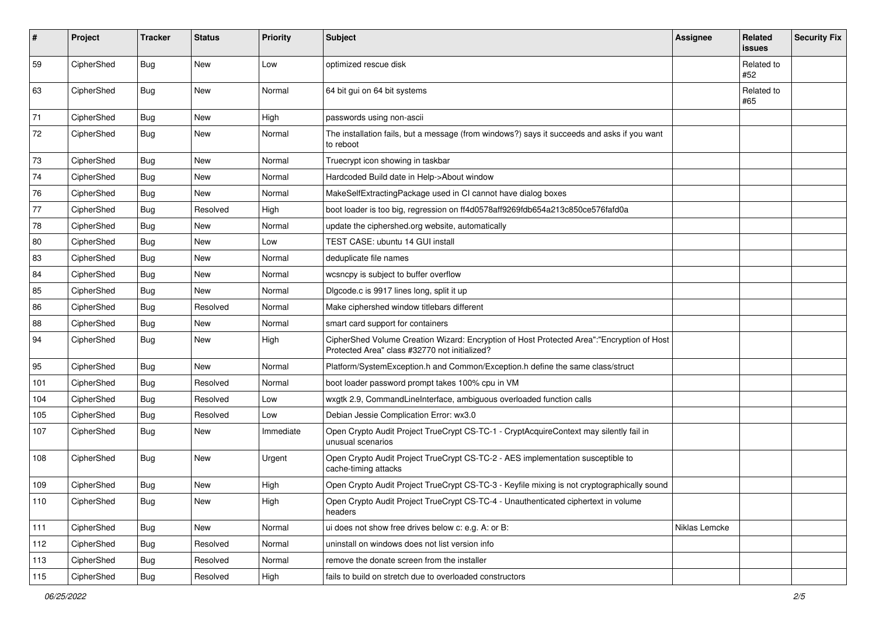| #             | Project    | <b>Tracker</b> | <b>Status</b> | Priority  | <b>Subject</b>                                                                                                                             | <b>Assignee</b> | <b>Related</b><br>issues | <b>Security Fix</b> |
|---------------|------------|----------------|---------------|-----------|--------------------------------------------------------------------------------------------------------------------------------------------|-----------------|--------------------------|---------------------|
| 59            | CipherShed | Bug            | <b>New</b>    | Low       | optimized rescue disk                                                                                                                      |                 | Related to<br>#52        |                     |
| 63            | CipherShed | Bug            | New           | Normal    | 64 bit qui on 64 bit systems                                                                                                               |                 | Related to<br>#65        |                     |
| 71            | CipherShed | <b>Bug</b>     | <b>New</b>    | High      | passwords using non-ascii                                                                                                                  |                 |                          |                     |
| 72            | CipherShed | Bug            | New           | Normal    | The installation fails, but a message (from windows?) says it succeeds and asks if you want<br>to reboot                                   |                 |                          |                     |
| 73            | CipherShed | <b>Bug</b>     | <b>New</b>    | Normal    | Truecrypt icon showing in taskbar                                                                                                          |                 |                          |                     |
| 74            | CipherShed | <b>Bug</b>     | <b>New</b>    | Normal    | Hardcoded Build date in Help->About window                                                                                                 |                 |                          |                     |
| 76            | CipherShed | <b>Bug</b>     | <b>New</b>    | Normal    | MakeSelfExtractingPackage used in CI cannot have dialog boxes                                                                              |                 |                          |                     |
| 77            | CipherShed | Bug            | Resolved      | High      | boot loader is too big, regression on ff4d0578aff9269fdb654a213c850ce576fafd0a                                                             |                 |                          |                     |
| 78            | CipherShed | <b>Bug</b>     | <b>New</b>    | Normal    | update the ciphershed org website, automatically                                                                                           |                 |                          |                     |
| 80            | CipherShed | <b>Bug</b>     | <b>New</b>    | Low       | TEST CASE: ubuntu 14 GUI install                                                                                                           |                 |                          |                     |
| 83            | CipherShed | <b>Bug</b>     | <b>New</b>    | Normal    | deduplicate file names                                                                                                                     |                 |                          |                     |
| 84            | CipherShed | <b>Bug</b>     | New           | Normal    | wcsncpy is subject to buffer overflow                                                                                                      |                 |                          |                     |
| 85            | CipherShed | Bug            | New           | Normal    | Digcode.c is 9917 lines long, split it up                                                                                                  |                 |                          |                     |
| 86            | CipherShed | <b>Bug</b>     | Resolved      | Normal    | Make ciphershed window titlebars different                                                                                                 |                 |                          |                     |
| 88            | CipherShed | <b>Bug</b>     | New           | Normal    | smart card support for containers                                                                                                          |                 |                          |                     |
| 94            | CipherShed | <b>Bug</b>     | New           | High      | CipherShed Volume Creation Wizard: Encryption of Host Protected Area":"Encryption of Host<br>Protected Area" class #32770 not initialized? |                 |                          |                     |
| 95            | CipherShed | Bug            | New           | Normal    | Platform/SystemException.h and Common/Exception.h define the same class/struct                                                             |                 |                          |                     |
| 101           | CipherShed | <b>Bug</b>     | Resolved      | Normal    | boot loader password prompt takes 100% cpu in VM                                                                                           |                 |                          |                     |
| 104           | CipherShed | <b>Bug</b>     | Resolved      | Low       | wxgtk 2.9, CommandLineInterface, ambiguous overloaded function calls                                                                       |                 |                          |                     |
| 105           | CipherShed | Bug            | Resolved      | Low       | Debian Jessie Complication Error: wx3.0                                                                                                    |                 |                          |                     |
| 107           | CipherShed | <b>Bug</b>     | New           | Immediate | Open Crypto Audit Project TrueCrypt CS-TC-1 - CryptAcquireContext may silently fail in<br>unusual scenarios                                |                 |                          |                     |
| 108           | CipherShed | Bug            | New           | Urgent    | Open Crypto Audit Project TrueCrypt CS-TC-2 - AES implementation susceptible to<br>cache-timing attacks                                    |                 |                          |                     |
| 109           | CipherShed | Bug            | New           | High      | Open Crypto Audit Project TrueCrypt CS-TC-3 - Keyfile mixing is not cryptographically sound                                                |                 |                          |                     |
| $ 110\rangle$ | CipherShed | Bug            | New           | High      | Open Crypto Audit Project TrueCrypt CS-TC-4 - Unauthenticated ciphertext in volume<br>headers                                              |                 |                          |                     |
| 111           | CipherShed | <b>Bug</b>     | New           | Normal    | ui does not show free drives below c: e.g. A: or B:                                                                                        | Niklas Lemcke   |                          |                     |
| 112           | CipherShed | Bug            | Resolved      | Normal    | uninstall on windows does not list version info                                                                                            |                 |                          |                     |
| 113           | CipherShed | Bug            | Resolved      | Normal    | remove the donate screen from the installer                                                                                                |                 |                          |                     |
| 115           | CipherShed | Bug            | Resolved      | High      | fails to build on stretch due to overloaded constructors                                                                                   |                 |                          |                     |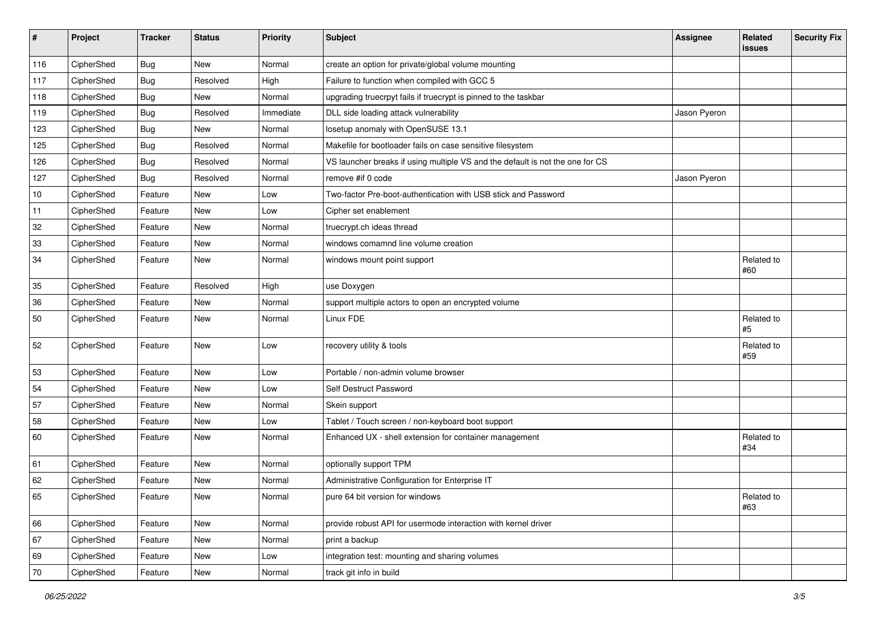| #   | Project    | <b>Tracker</b> | <b>Status</b> | Priority  | Subject                                                                       | <b>Assignee</b> | Related<br><b>issues</b> | <b>Security Fix</b> |
|-----|------------|----------------|---------------|-----------|-------------------------------------------------------------------------------|-----------------|--------------------------|---------------------|
| 116 | CipherShed | <b>Bug</b>     | <b>New</b>    | Normal    | create an option for private/global volume mounting                           |                 |                          |                     |
| 117 | CipherShed | <b>Bug</b>     | Resolved      | High      | Failure to function when compiled with GCC 5                                  |                 |                          |                     |
| 118 | CipherShed | Bug            | New           | Normal    | upgrading truecrpyt fails if truecrypt is pinned to the taskbar               |                 |                          |                     |
| 119 | CipherShed | <b>Bug</b>     | Resolved      | Immediate | DLL side loading attack vulnerability                                         | Jason Pyeron    |                          |                     |
| 123 | CipherShed | <b>Bug</b>     | New           | Normal    | losetup anomaly with OpenSUSE 13.1                                            |                 |                          |                     |
| 125 | CipherShed | <b>Bug</b>     | Resolved      | Normal    | Makefile for bootloader fails on case sensitive filesystem                    |                 |                          |                     |
| 126 | CipherShed | <b>Bug</b>     | Resolved      | Normal    | VS launcher breaks if using multiple VS and the default is not the one for CS |                 |                          |                     |
| 127 | CipherShed | Bug            | Resolved      | Normal    | remove #if 0 code                                                             | Jason Pyeron    |                          |                     |
| 10  | CipherShed | Feature        | <b>New</b>    | Low       | Two-factor Pre-boot-authentication with USB stick and Password                |                 |                          |                     |
| 11  | CipherShed | Feature        | New           | Low       | Cipher set enablement                                                         |                 |                          |                     |
| 32  | CipherShed | Feature        | <b>New</b>    | Normal    | truecrypt.ch ideas thread                                                     |                 |                          |                     |
| 33  | CipherShed | Feature        | New           | Normal    | windows comamnd line volume creation                                          |                 |                          |                     |
| 34  | CipherShed | Feature        | New           | Normal    | windows mount point support                                                   |                 | Related to<br>#60        |                     |
| 35  | CipherShed | Feature        | Resolved      | High      | use Doxygen                                                                   |                 |                          |                     |
| 36  | CipherShed | Feature        | New           | Normal    | support multiple actors to open an encrypted volume                           |                 |                          |                     |
| 50  | CipherShed | Feature        | New           | Normal    | Linux FDE                                                                     |                 | Related to<br>#5         |                     |
| 52  | CipherShed | Feature        | <b>New</b>    | Low       | recovery utility & tools                                                      |                 | Related to<br>#59        |                     |
| 53  | CipherShed | Feature        | <b>New</b>    | Low       | Portable / non-admin volume browser                                           |                 |                          |                     |
| 54  | CipherShed | Feature        | New           | Low       | Self Destruct Password                                                        |                 |                          |                     |
| 57  | CipherShed | Feature        | New           | Normal    | Skein support                                                                 |                 |                          |                     |
| 58  | CipherShed | Feature        | New           | Low       | Tablet / Touch screen / non-keyboard boot support                             |                 |                          |                     |
| 60  | CipherShed | Feature        | New           | Normal    | Enhanced UX - shell extension for container management                        |                 | Related to<br>#34        |                     |
| 61  | CipherShed | Feature        | New           | Normal    | optionally support TPM                                                        |                 |                          |                     |
| 62  | CipherShed | Feature        | New           | Normal    | Administrative Configuration for Enterprise IT                                |                 |                          |                     |
| 65  | CipherShed | Feature        | New           | Normal    | pure 64 bit version for windows                                               |                 | Related to<br>#63        |                     |
| 66  | CipherShed | Feature        | New           | Normal    | provide robust API for usermode interaction with kernel driver                |                 |                          |                     |
| 67  | CipherShed | Feature        | New           | Normal    | print a backup                                                                |                 |                          |                     |
| 69  | CipherShed | Feature        | New           | Low       | integration test: mounting and sharing volumes                                |                 |                          |                     |
| 70  | CipherShed | Feature        | New           | Normal    | track git info in build                                                       |                 |                          |                     |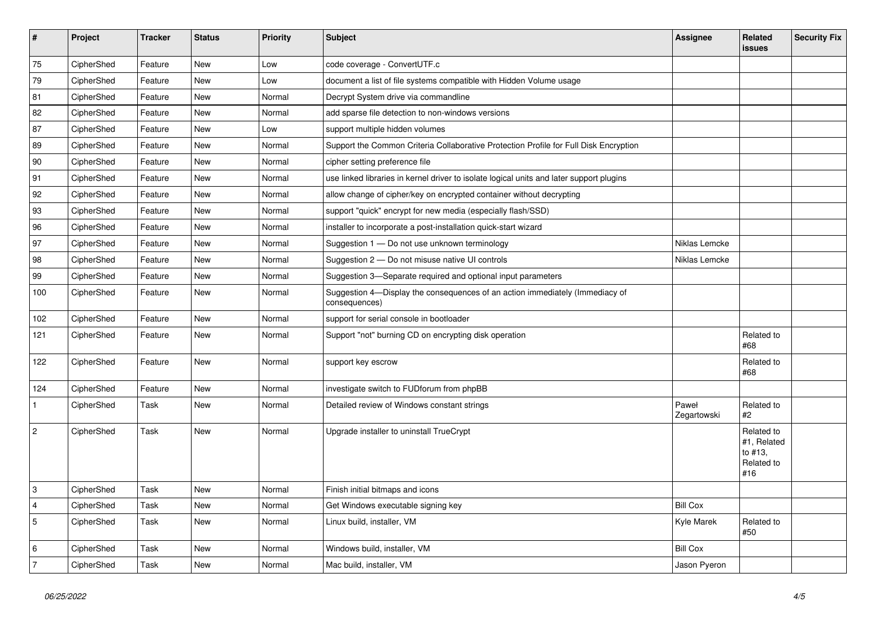| $\vert$ #      | Project    | <b>Tracker</b> | <b>Status</b> | <b>Priority</b> | <b>Subject</b>                                                                                | Assignee             | Related<br>issues                                         | <b>Security Fix</b> |
|----------------|------------|----------------|---------------|-----------------|-----------------------------------------------------------------------------------------------|----------------------|-----------------------------------------------------------|---------------------|
| 75             | CipherShed | Feature        | <b>New</b>    | Low             | code coverage - ConvertUTF.c                                                                  |                      |                                                           |                     |
| 79             | CipherShed | Feature        | <b>New</b>    | Low             | document a list of file systems compatible with Hidden Volume usage                           |                      |                                                           |                     |
| 81             | CipherShed | Feature        | New           | Normal          | Decrypt System drive via commandline                                                          |                      |                                                           |                     |
| 82             | CipherShed | Feature        | <b>New</b>    | Normal          | add sparse file detection to non-windows versions                                             |                      |                                                           |                     |
| 87             | CipherShed | Feature        | <b>New</b>    | Low             | support multiple hidden volumes                                                               |                      |                                                           |                     |
| 89             | CipherShed | Feature        | <b>New</b>    | Normal          | Support the Common Criteria Collaborative Protection Profile for Full Disk Encryption         |                      |                                                           |                     |
| 90             | CipherShed | Feature        | New           | Normal          | cipher setting preference file                                                                |                      |                                                           |                     |
| 91             | CipherShed | Feature        | <b>New</b>    | Normal          | use linked libraries in kernel driver to isolate logical units and later support plugins      |                      |                                                           |                     |
| 92             | CipherShed | Feature        | New           | Normal          | allow change of cipher/key on encrypted container without decrypting                          |                      |                                                           |                     |
| 93             | CipherShed | Feature        | New           | Normal          | support "quick" encrypt for new media (especially flash/SSD)                                  |                      |                                                           |                     |
| 96             | CipherShed | Feature        | <b>New</b>    | Normal          | installer to incorporate a post-installation quick-start wizard                               |                      |                                                           |                     |
| 97             | CipherShed | Feature        | New           | Normal          | Suggestion 1 - Do not use unknown terminology                                                 | Niklas Lemcke        |                                                           |                     |
| 98             | CipherShed | Feature        | <b>New</b>    | Normal          | Suggestion 2 - Do not misuse native UI controls                                               | Niklas Lemcke        |                                                           |                     |
| 99             | CipherShed | Feature        | New           | Normal          | Suggestion 3-Separate required and optional input parameters                                  |                      |                                                           |                     |
| 100            | CipherShed | Feature        | New           | Normal          | Suggestion 4—Display the consequences of an action immediately (Immediacy of<br>consequences) |                      |                                                           |                     |
| 102            | CipherShed | Feature        | New           | Normal          | support for serial console in bootloader                                                      |                      |                                                           |                     |
| 121            | CipherShed | Feature        | <b>New</b>    | Normal          | Support "not" burning CD on encrypting disk operation                                         |                      | Related to<br>#68                                         |                     |
| 122            | CipherShed | Feature        | New           | Normal          | support key escrow                                                                            |                      | Related to<br>#68                                         |                     |
| 124            | CipherShed | Feature        | New           | Normal          | investigate switch to FUDforum from phpBB                                                     |                      |                                                           |                     |
| $\mathbf{1}$   | CipherShed | Task           | New           | Normal          | Detailed review of Windows constant strings                                                   | Paweł<br>Zegartowski | Related to<br>#2                                          |                     |
| $\overline{2}$ | CipherShed | Task           | <b>New</b>    | Normal          | Upgrade installer to uninstall TrueCrypt                                                      |                      | Related to<br>#1, Related<br>to #13.<br>Related to<br>#16 |                     |
| 3              | CipherShed | Task           | <b>New</b>    | Normal          | Finish initial bitmaps and icons                                                              |                      |                                                           |                     |
| $\overline{4}$ | CipherShed | Task           | New           | Normal          | Get Windows executable signing key                                                            | <b>Bill Cox</b>      |                                                           |                     |
| $\sqrt{5}$     | CipherShed | Task           | <b>New</b>    | Normal          | Linux build, installer, VM                                                                    | Kyle Marek           | Related to<br>#50                                         |                     |
| 6              | CipherShed | Task           | <b>New</b>    | Normal          | Windows build, installer, VM                                                                  | <b>Bill Cox</b>      |                                                           |                     |
| 7              | CipherShed | Task           | New           | Normal          | Mac build, installer, VM                                                                      | Jason Pyeron         |                                                           |                     |